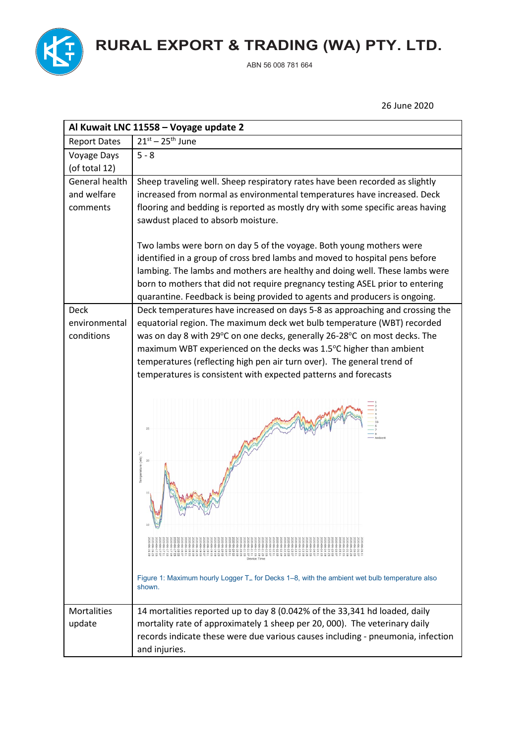

**RURAL EXPORT & TRADING (WA) PTY. LTD.**

ABN 56 008 781 664

26 June 2020

| Al Kuwait LNC 11558 - Voyage update 2      |                                                                                                                                                                                                                                                                                                                                                                                                                                                                                                                                                                                                                                                                                                                                                                                                                                                             |  |
|--------------------------------------------|-------------------------------------------------------------------------------------------------------------------------------------------------------------------------------------------------------------------------------------------------------------------------------------------------------------------------------------------------------------------------------------------------------------------------------------------------------------------------------------------------------------------------------------------------------------------------------------------------------------------------------------------------------------------------------------------------------------------------------------------------------------------------------------------------------------------------------------------------------------|--|
| <b>Report Dates</b>                        | $21^{st} - 25^{th}$ June                                                                                                                                                                                                                                                                                                                                                                                                                                                                                                                                                                                                                                                                                                                                                                                                                                    |  |
| Voyage Days                                | $5 - 8$                                                                                                                                                                                                                                                                                                                                                                                                                                                                                                                                                                                                                                                                                                                                                                                                                                                     |  |
| (of total 12)                              |                                                                                                                                                                                                                                                                                                                                                                                                                                                                                                                                                                                                                                                                                                                                                                                                                                                             |  |
| General health                             | Sheep traveling well. Sheep respiratory rates have been recorded as slightly                                                                                                                                                                                                                                                                                                                                                                                                                                                                                                                                                                                                                                                                                                                                                                                |  |
| and welfare                                | increased from normal as environmental temperatures have increased. Deck                                                                                                                                                                                                                                                                                                                                                                                                                                                                                                                                                                                                                                                                                                                                                                                    |  |
| comments                                   | flooring and bedding is reported as mostly dry with some specific areas having                                                                                                                                                                                                                                                                                                                                                                                                                                                                                                                                                                                                                                                                                                                                                                              |  |
|                                            | sawdust placed to absorb moisture.                                                                                                                                                                                                                                                                                                                                                                                                                                                                                                                                                                                                                                                                                                                                                                                                                          |  |
| <b>Deck</b><br>environmental<br>conditions | Two lambs were born on day 5 of the voyage. Both young mothers were<br>identified in a group of cross bred lambs and moved to hospital pens before<br>lambing. The lambs and mothers are healthy and doing well. These lambs were<br>born to mothers that did not require pregnancy testing ASEL prior to entering<br>quarantine. Feedback is being provided to agents and producers is ongoing.<br>Deck temperatures have increased on days 5-8 as approaching and crossing the<br>equatorial region. The maximum deck wet bulb temperature (WBT) recorded<br>was on day 8 with 29°C on one decks, generally 26-28°C on most decks. The<br>maximum WBT experienced on the decks was 1.5°C higher than ambient<br>temperatures (reflecting high pen air turn over). The general trend of<br>temperatures is consistent with expected patterns and forecasts |  |
|                                            | Temperature (wb) °C<br>10<br>Device Time<br>Figure 1: Maximum hourly Logger T <sub>w</sub> for Decks 1–8, with the ambient wet bulb temperature also<br>shown.                                                                                                                                                                                                                                                                                                                                                                                                                                                                                                                                                                                                                                                                                              |  |
| <b>Mortalities</b>                         | 14 mortalities reported up to day 8 (0.042% of the 33,341 hd loaded, daily                                                                                                                                                                                                                                                                                                                                                                                                                                                                                                                                                                                                                                                                                                                                                                                  |  |
| update                                     | mortality rate of approximately 1 sheep per 20, 000). The veterinary daily                                                                                                                                                                                                                                                                                                                                                                                                                                                                                                                                                                                                                                                                                                                                                                                  |  |
|                                            | records indicate these were due various causes including - pneumonia, infection                                                                                                                                                                                                                                                                                                                                                                                                                                                                                                                                                                                                                                                                                                                                                                             |  |
|                                            | and injuries.                                                                                                                                                                                                                                                                                                                                                                                                                                                                                                                                                                                                                                                                                                                                                                                                                                               |  |